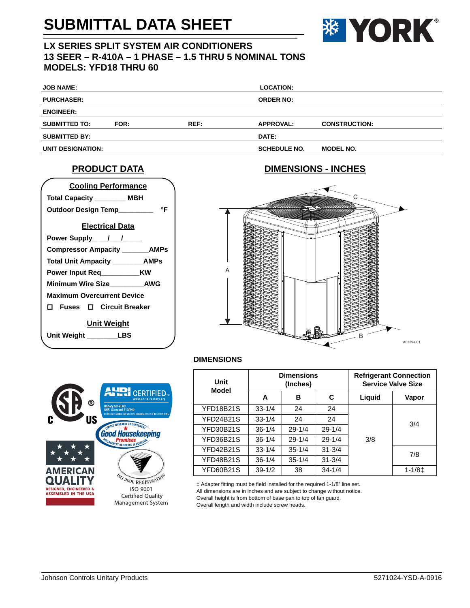## **SUBMITTAL DATA SHEET**



### **LX SERIES SPLIT SYSTEM AIR CONDITIONERS 13 SEER – R-410A – 1 PHASE – 1.5 THRU 5 NOMINAL TONS MODELS: YFD18 THRU 60**

| <b>JOB NAME:</b>     |      |      | <b>LOCATION:</b>    |                      |  |
|----------------------|------|------|---------------------|----------------------|--|
| <b>PURCHASER:</b>    |      |      | <b>ORDER NO:</b>    |                      |  |
| <b>ENGINEER:</b>     |      |      |                     |                      |  |
| <b>SUBMITTED TO:</b> | FOR: | REF: | <b>APPROVAL:</b>    | <b>CONSTRUCTION:</b> |  |
| <b>SUBMITTED BY:</b> |      |      | DATE:               |                      |  |
| UNIT DESIGNATION:    |      |      | <b>SCHEDULE NO.</b> | <b>MODEL NO.</b>     |  |

#### **PRODUCT DATA**





#### **DIMENSIONS**



|            |                                                                                                | <b>Refrigerant Connection</b><br><b>Service Valve Size</b> |            |  |
|------------|------------------------------------------------------------------------------------------------|------------------------------------------------------------|------------|--|
| в          | C                                                                                              | Liquid                                                     | Vapor      |  |
| 24         | 24                                                                                             |                                                            |            |  |
| 24         | 24                                                                                             |                                                            | 3/4        |  |
| $29 - 1/4$ | $29 - 1/4$                                                                                     |                                                            |            |  |
| $29 - 1/4$ | $29 - 1/4$                                                                                     | 3/8                                                        |            |  |
| $35 - 1/4$ | $31 - 3/4$                                                                                     |                                                            | 7/8        |  |
| $35 - 1/4$ | $31 - 3/4$                                                                                     |                                                            |            |  |
| 38         | $34 - 1/4$                                                                                     |                                                            | $1 - 1/81$ |  |
|            | $33 - 1/4$<br>$33 - 1/4$<br>$36 - 1/4$<br>$36 - 1/4$<br>$33 - 1/4$<br>$36 - 1/4$<br>$39 - 1/2$ |                                                            |            |  |

‡ Adapter fitting must be field installed for the required 1-1/8" line set. All dimensions are in inches and are subject to change without notice. Overall height is from bottom of base pan to top of fan guard. Overall length and width include screw heads.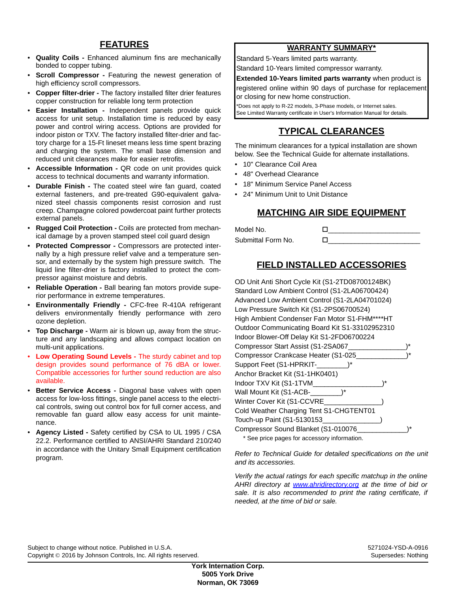#### **FEATURES**

- **Quality Coils -** Enhanced aluminum fins are mechanically bonded to copper tubing.
- **Scroll Compressor -** Featuring the newest generation of high efficiency scroll compressors.
- **Copper filter-drier -** The factory installed filter drier features copper construction for reliable long term protection
- **Easier Installation -** Independent panels provide quick access for unit setup. Installation time is reduced by easy power and control wiring access. Options are provided for indoor piston or TXV. The factory installed filter-drier and factory charge for a 15-Ft lineset means less time spent brazing and charging the system. The small base dimension and reduced unit clearances make for easier retrofits.
- **Accessible Information -** QR code on unit provides quick access to technical documents and warranty information.
- **Durable Finish -** The coated steel wire fan guard, coated external fasteners, and pre-treated G90-equivalent galvanized steel chassis components resist corrosion and rust creep. Champagne colored powdercoat paint further protects external panels.
- **Rugged Coil Protection -** Coils are protected from mechanical damage by a proven stamped steel coil guard design
- **Protected Compressor -** Compressors are protected internally by a high pressure relief valve and a temperature sensor, and externally by the system high pressure switch. The liquid line filter-drier is factory installed to protect the compressor against moisture and debris.
- **Reliable Operation -** Ball bearing fan motors provide superior performance in extreme temperatures.
- **Environmentally Friendly -** CFC-free R-410A refrigerant delivers environmentally friendly performance with zero ozone depletion.
- **Top Discharge -** Warm air is blown up, away from the structure and any landscaping and allows compact location on multi-unit applications.
- **Low Operating Sound Levels -** The sturdy cabinet and top design provides sound performance of 76 dBA or lower. Compatible accessories for further sound reduction are also available.
- **Better Service Access -** Diagonal base valves with open access for low-loss fittings, single panel access to the electrical controls, swing out control box for full corner access, and removable fan guard allow easy access for unit maintenance.
- **Agency Listed -** Safety certified by CSA to UL 1995 / CSA 22.2. Performance certified to ANSI/AHRI Standard 210/240 in accordance with the Unitary Small Equipment certification program.

#### **WARRANTY SUMMARY\***

Standard 5-Years limited parts warranty. Standard 10-Years limited compressor warranty.

#### **Extended 10-Years limited parts warranty** when product is

registered online within 90 days of purchase for replacement or closing for new home construction.

\*Does not apply to R-22 models, 3-Phase models, or Internet sales. See Limited Warranty certificate in User's Information Manual for details.

## **TYPICAL CLEARANCES**

The minimum clearances for a typical installation are shown below. See the Technical Guide for alternate installations.

- 10" Clearance Coil Area
- 48" Overhead Clearance
- 18" Minimum Service Panel Access
- 24" Minimum Unit to Unit Distance

#### **MATCHING AIR SIDE EQUIPMENT**

| Model No.          |  |
|--------------------|--|
| Submittal Form No. |  |

### **FIELD INSTALLED ACCESSORIES**

| OD Unit Anti Short Cycle Kit (S1-2TD08700124BK) |  |
|-------------------------------------------------|--|
| Standard Low Ambient Control (S1-2LA06700424)   |  |
| Advanced Low Ambient Control (S1-2LA04701024)   |  |
| Low Pressure Switch Kit (S1-2PS06700524)        |  |
| High Ambient Condenser Fan Motor S1-FHM****HT   |  |
| Outdoor Communicating Board Kit S1-33102952310  |  |
| Indoor Blower-Off Delay Kit S1-2FD06700224      |  |
| Compressor Start Assist (S1-2SA067              |  |
| Compressor Crankcase Heater (S1-025             |  |
| Support Feet (S1-HPRKIT-                        |  |
| Anchor Bracket Kit (S1-1HK0401)                 |  |
| Indoor TXV Kit (S1-1TVM                         |  |
| Wall Mount Kit (S1-ACB-<br>1*                   |  |
| Winter Cover Kit (S1-CCVRE                      |  |
| Cold Weather Charging Tent S1-CHGTENT01         |  |
| Touch-up Paint (S1-5130153_                     |  |
| Compressor Sound Blanket (S1-010076             |  |
|                                                 |  |

\* See price pages for accessory information.

*Refer to Technical Guide for detailed specifications on the unit and its accessories.*

*Verify the actual ratings for each specific matchup in the online AHRI directory at www.ahridirectory.org at the time of bid or sale. It is also recommended to print the rating certificate, if needed, at the time of bid or sale.*

Subject to change without notice. Published in U.S.A. 5271024-YSD-A-0916 Copyright © 2016 by Johnson Controls, Inc. All rights reserved. Supersedes: Nothing Supersedes: Nothing Supersedes: Nothing

**York Internation Corp. 5005 York Drive Norman, OK 73069**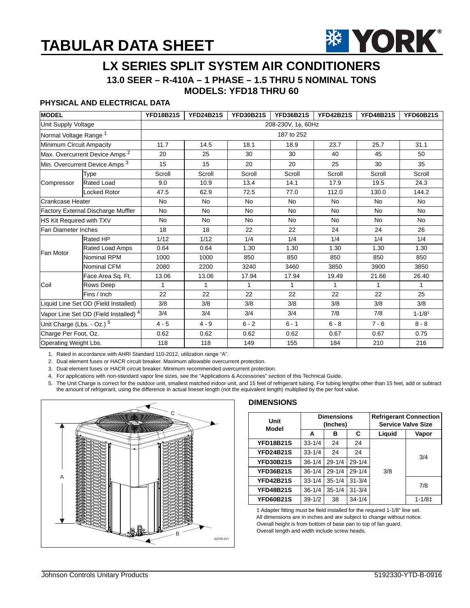## **TABULAR DATA SHEET**



# **LX SERIES SPLIT SYSTEM AIR CONDITIONERS**

**13.0 SEER – R-410A – 1 PHASE – 1.5 THRU 5 NOMINAL TONS**

#### **MODELS: YFD18 THRU 60**

#### **PHYSICAL AND ELECTRICAL DATA**

| <b>MODEL</b>                                     |                                           | <b>YFD18B21S</b>   | <b>YFD24B21S</b> | <b>YFD30B21S</b> | <b>YFD36B21S</b> | <b>YFD42B21S</b> | <b>YFD48B21S</b> | <b>YFD60B21S</b> |  |
|--------------------------------------------------|-------------------------------------------|--------------------|------------------|------------------|------------------|------------------|------------------|------------------|--|
| Unit Supply Voltage                              |                                           | 208-230V, 1¢, 60Hz |                  |                  |                  |                  |                  |                  |  |
| Normal Voltage Range <sup>1</sup>                |                                           | 187 to 252         |                  |                  |                  |                  |                  |                  |  |
| Minimum Circuit Ampacity                         |                                           | 11.7               | 14.5             | 18.1             | 18.9             | 23.7             | 25.7             | 31.1             |  |
|                                                  | Max. Overcurrent Device Amps <sup>2</sup> | 20                 | 25               | 30               | 30               | 40               | 45               | 50               |  |
| Min. Overcurrent Device Amps <sup>3</sup>        |                                           | 15                 | 15               | 20               | 20               | 25               | 30               | 35               |  |
|                                                  | Type                                      | Scroll             | Scroll           | Scroll           | Scroll           | Scroll           | Scroll           | Scroll           |  |
| Compressor                                       | Rated Load                                | 9.0                | 10.9             | 13.4             | 14.1             | 17.9             | 19.5             | 24.3             |  |
|                                                  | Locked Rotor                              | 47.5               | 62.9             | 72.5             | 77.0             | 112.0            | 130.0            | 144.2            |  |
| Crankcase Heater                                 |                                           | <b>No</b>          | <b>No</b>        | <b>No</b>        | <b>No</b>        | <b>No</b>        | <b>No</b>        | <b>No</b>        |  |
|                                                  | Factory External Discharge Muffler        | No                 | <b>No</b>        | <b>No</b>        | <b>No</b>        | <b>No</b>        | <b>No</b>        | <b>No</b>        |  |
| HS Kit Required with TXV                         |                                           | <b>No</b>          | <b>No</b>        | <b>No</b>        | <b>No</b>        | <b>No</b>        | <b>No</b>        | <b>No</b>        |  |
| Fan Diameter Inches                              |                                           | 18                 | 18               | 22               | 22               | 24               | 24               | 26               |  |
|                                                  | <b>Rated HP</b>                           | 1/12               | 1/12             | 1/4              | 1/4              | 1/4              | 1/4              | 1/4              |  |
| <b>Fan Motor</b>                                 | <b>Rated Load Amps</b>                    | 0.64               | 0.64             | 1.30             | 1.30             | 1.30             | 1.30             | 1.30             |  |
|                                                  | Nominal RPM                               | 1000               | 1000             | 850              | 850              | 850              | 850              | 850              |  |
|                                                  | Nominal CFM                               | 2080               | 2200             | 3240             | 3460             | 3850             | 3900             | 3850             |  |
|                                                  | Face Area Sq. Ft.                         | 13.06              | 13.06            | 17.94            | 17.94            | 19.49            | 21.66            | 26.40            |  |
| Coil                                             | Rows Deep                                 | $\mathbf{1}$       | $\mathbf{1}$     | $\mathbf{1}$     | $\mathbf{1}$     | $\mathbf{1}$     | 1                | $\mathbf{1}$     |  |
|                                                  | Fins / Inch                               | 22                 | 22               | 22               | 22               | 22               | 22               | 25               |  |
| Liquid Line Set OD (Field Installed)             |                                           | 3/8                | 3/8              | 3/8              | 3/8              | 3/8              | 3/8              | 3/8              |  |
| Vapor Line Set OD (Field Installed) <sup>4</sup> |                                           | 3/4                | 3/4              | 3/4              | 3/4              | 7/8              | 7/8              | $1 - 1/8^+$      |  |
| Unit Charge (Lbs. - Oz.) <sup>5</sup>            |                                           | $4 - 5$            | $4 - 9$          | $6 - 2$          | $6 - 1$          | $6 - 8$          | $7 - 6$          | $8 - 8$          |  |
| Charge Per Foot, Oz.                             |                                           | 0.62               | 0.62             | 0.62             | 0.62             | 0.67             | 0.67             | 0.75             |  |
| Operating Weight Lbs.                            |                                           | 118                | 118              | 149              | 155              | 184              | 210              | 216              |  |

1. Rated in accordance with AHRI Standard 110-2012, utilization range "A".

2. Dual element fuses or HACR circuit breaker. Maximum allowable overcurrent protection.

3. Dual element fuses or HACR circuit breaker. Minimum recommended overcurrent protection.

4. For applications with non-standard vapor line sizes, see the "Applications & Accessories" section of this Technical Guide.

5. The Unit Charge is correct for the outdoor unit, smallest matched indoor unit, and 15 feet of refrigerant tubing. For tubing lengths other than 15 feet, add or subtract the amount of refrigerant, using the difference in actual lineset length (not the equivalent length) multiplied by the per foot value.



#### **DIMENSIONS**

| Unit<br>Model    | <b>Dimensions</b><br>(Inches) |            |            | <b>Refrigerant Connection</b><br><b>Service Valve Size</b> |            |  |
|------------------|-------------------------------|------------|------------|------------------------------------------------------------|------------|--|
|                  | A                             | в          | C          | Liquid                                                     | Vapor      |  |
| <b>YFD18B21S</b> | $33 - 1/4$                    | 24         | 24         |                                                            | 3/4        |  |
| <b>YFD24B21S</b> | $33 - 1/4$                    | 24         | 24         |                                                            |            |  |
| <b>YFD30B21S</b> | $36 - 1/4$                    | $29 - 1/4$ | $29 - 1/4$ |                                                            |            |  |
| <b>YFD36B21S</b> | $36 - 1/4$                    | $29 - 1/4$ | $29 - 1/4$ | 3/8                                                        |            |  |
| <b>YFD42B21S</b> | $33 - 1/4$                    | $35 - 1/4$ | $31 - 3/4$ |                                                            | 7/8        |  |
| <b>YFD48B21S</b> | $36 - 1/4$                    | $35 - 1/4$ | $31 - 3/4$ |                                                            |            |  |
| <b>YFD60B21S</b> | $39-1/2$                      | 38         | $34 - 1/4$ |                                                            | $1 - 1/81$ |  |

‡ Adapter fitting must be field installed for the required 1-1/8" line set. All dimensions are in inches and are subject to change without notice. Overall height is from bottom of base pan to top of fan guard. Overall length and width include screw heads.